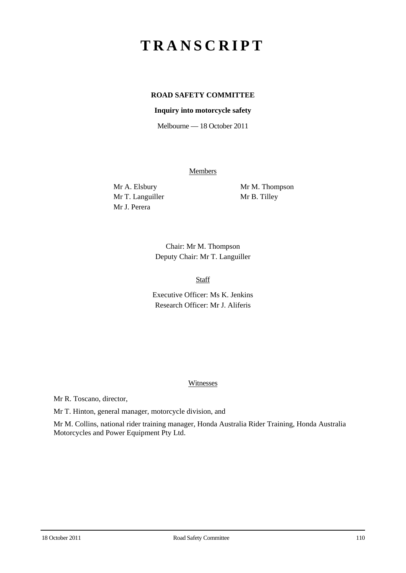# **TRANSCRIPT**

## **ROAD SAFETY COMMITTEE**

#### **Inquiry into motorcycle safety**

Melbourne — 18 October 2011

Members

Mr T. Languiller Mr B. Tilley Mr J. Perera

Mr A. Elsbury Mr M. Thompson

Chair: Mr M. Thompson Deputy Chair: Mr T. Languiller

Staff

Executive Officer: Ms K. Jenkins Research Officer: Mr J. Aliferis

#### Witnesses

Mr R. Toscano, director,

Mr T. Hinton, general manager, motorcycle division, and

Mr M. Collins, national rider training manager, Honda Australia Rider Training, Honda Australia Motorcycles and Power Equipment Pty Ltd.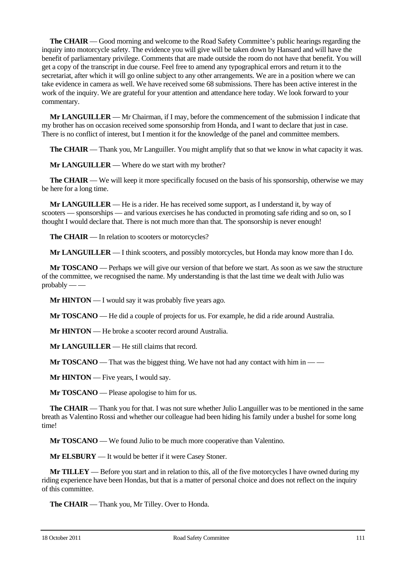**The CHAIR** — Good morning and welcome to the Road Safety Committee's public hearings regarding the inquiry into motorcycle safety. The evidence you will give will be taken down by Hansard and will have the benefit of parliamentary privilege. Comments that are made outside the room do not have that benefit. You will get a copy of the transcript in due course. Feel free to amend any typographical errors and return it to the secretariat, after which it will go online subject to any other arrangements. We are in a position where we can take evidence in camera as well. We have received some 68 submissions. There has been active interest in the work of the inquiry. We are grateful for your attention and attendance here today. We look forward to your commentary.

**Mr LANGUILLER** — Mr Chairman, if I may, before the commencement of the submission I indicate that my brother has on occasion received some sponsorship from Honda, and I want to declare that just in case. There is no conflict of interest, but I mention it for the knowledge of the panel and committee members.

**The CHAIR** — Thank you, Mr Languiller. You might amplify that so that we know in what capacity it was.

**Mr LANGUILLER** — Where do we start with my brother?

**The CHAIR** — We will keep it more specifically focused on the basis of his sponsorship, otherwise we may be here for a long time.

**Mr LANGUILLER** — He is a rider. He has received some support, as I understand it, by way of scooters — sponsorships — and various exercises he has conducted in promoting safe riding and so on, so I thought I would declare that. There is not much more than that. The sponsorship is never enough!

**The CHAIR** — In relation to scooters or motorcycles?

**Mr LANGUILLER** — I think scooters, and possibly motorcycles, but Honda may know more than I do.

**Mr TOSCANO** — Perhaps we will give our version of that before we start. As soon as we saw the structure of the committee, we recognised the name. My understanding is that the last time we dealt with Julio was  $probably$  —

**Mr HINTON** — I would say it was probably five years ago.

**Mr TOSCANO** — He did a couple of projects for us. For example, he did a ride around Australia.

**Mr HINTON** — He broke a scooter record around Australia.

**Mr LANGUILLER** — He still claims that record.

**Mr**  $TOSCANO$  — That was the biggest thing. We have not had any contact with him in —

**Mr HINTON** — Five years, I would say.

**Mr TOSCANO** — Please apologise to him for us.

**The CHAIR** — Thank you for that. I was not sure whether Julio Languiller was to be mentioned in the same breath as Valentino Rossi and whether our colleague had been hiding his family under a bushel for some long time!

**Mr TOSCANO** — We found Julio to be much more cooperative than Valentino.

**Mr ELSBURY** — It would be better if it were Casey Stoner.

**Mr TILLEY** — Before you start and in relation to this, all of the five motorcycles I have owned during my riding experience have been Hondas, but that is a matter of personal choice and does not reflect on the inquiry of this committee.

**The CHAIR** — Thank you, Mr Tilley. Over to Honda.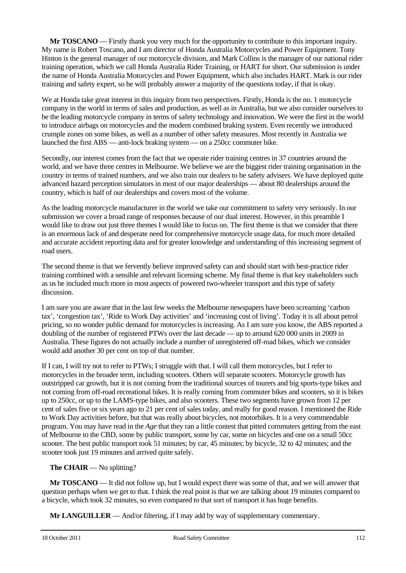**Mr TOSCANO** — Firstly thank you very much for the opportunity to contribute to this important inquiry. My name is Robert Toscano, and I am director of Honda Australia Motorcycles and Power Equipment. Tony Hinton is the general manager of our motorcycle division, and Mark Collins is the manager of our national rider training operation, which we call Honda Australia Rider Training, or HART for short. Our submission is under the name of Honda Australia Motorcycles and Power Equipment, which also includes HART. Mark is our rider training and safety expert, so he will probably answer a majority of the questions today, if that is okay.

We at Honda take great interest in this inquiry from two perspectives. Firstly, Honda is the no. 1 motorcycle company in the world in terms of sales and production, as well as in Australia, but we also consider ourselves to be the leading motorcycle company in terms of safety technology and innovation. We were the first in the world to introduce airbags on motorcycles and the modern combined braking system. Even recently we introduced crumple zones on some bikes, as well as a number of other safety measures. Most recently in Australia we launched the first ABS — anti-lock braking system — on a 250cc commuter bike.

Secondly, our interest comes from the fact that we operate rider training centres in 37 countries around the world, and we have three centres in Melbourne. We believe we are the biggest rider training organisation in the country in terms of trained numbers, and we also train our dealers to be safety advisers. We have deployed quite advanced hazard perception simulators in most of our major dealerships — about 80 dealerships around the country, which is half of our dealerships and covers most of the volume.

As the leading motorcycle manufacturer in the world we take our commitment to safety very seriously. In our submission we cover a broad range of responses because of our dual interest. However, in this preamble I would like to draw out just three themes I would like to focus on. The first theme is that we consider that there is an enormous lack of and desperate need for comprehensive motorcycle usage data, for much more detailed and accurate accident reporting data and for greater knowledge and understanding of this increasing segment of road users.

The second theme is that we fervently believe improved safety can and should start with best-practice rider training combined with a sensible and relevant licensing scheme. My final theme is that key stakeholders such as us be included much more in most aspects of powered two-wheeler transport and this type of safety discussion.

I am sure you are aware that in the last few weeks the Melbourne newspapers have been screaming 'carbon tax', 'congestion tax', 'Ride to Work Day activities' and 'increasing cost of living'. Today it is all about petrol pricing, so no wonder public demand for motorcycles is increasing. As I am sure you know, the ABS reported a doubling of the number of registered PTWs over the last decade — up to around 620 000 units in 2009 in Australia. These figures do not actually include a number of unregistered off-road bikes, which we consider would add another 30 per cent on top of that number.

If I can, I will try not to refer to PTWs; I struggle with that. I will call them motorcycles, but I refer to motorcycles in the broader term, including scooters. Others will separate scooters. Motorcycle growth has outstripped car growth, but it is not coming from the traditional sources of tourers and big sports-type bikes and not coming from off-road recreational bikes. It is really coming from commuter bikes and scooters, so it is bikes up to 250cc, or up to the LAMS-type bikes, and also scooters. These two segments have grown from 12 per cent of sales five or six years ago to 21 per cent of sales today, and really for good reason. I mentioned the Ride to Work Day activities before, but that was really about bicycles, not motorbikes. It is a very commendable program. You may have read in the *Age* that they ran a little contest that pitted commuters getting from the east of Melbourne to the CBD, some by public transport, some by car, some on bicycles and one on a small 50cc scooter. The best public transport took 51 minutes; by car, 45 minutes; by bicycle, 32 to 42 minutes; and the scooter took just 19 minutes and arrived quite safely.

### **The CHAIR** — No splitting?

**Mr TOSCANO** — It did not follow up, but I would expect there was some of that, and we will answer that question perhaps when we get to that. I think the real point is that we are talking about 19 minutes compared to a bicycle, which took 32 minutes, so even compared to that sort of transport it has huge benefits.

**Mr LANGUILLER** — And/or filtering, if I may add by way of supplementary commentary.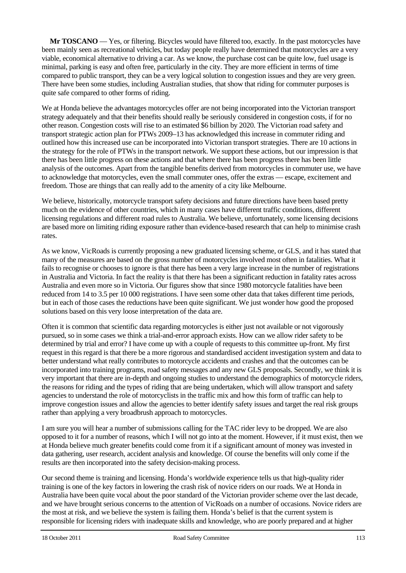**Mr TOSCANO** — Yes, or filtering. Bicycles would have filtered too, exactly. In the past motorcycles have been mainly seen as recreational vehicles, but today people really have determined that motorcycles are a very viable, economical alternative to driving a car. As we know, the purchase cost can be quite low, fuel usage is minimal, parking is easy and often free, particularly in the city. They are more efficient in terms of time compared to public transport, they can be a very logical solution to congestion issues and they are very green. There have been some studies, including Australian studies, that show that riding for commuter purposes is quite safe compared to other forms of riding.

We at Honda believe the advantages motorcycles offer are not being incorporated into the Victorian transport strategy adequately and that their benefits should really be seriously considered in congestion costs, if for no other reason. Congestion costs will rise to an estimated \$6 billion by 2020. The Victorian road safety and transport strategic action plan for PTWs 2009–13 has acknowledged this increase in commuter riding and outlined how this increased use can be incorporated into Victorian transport strategies. There are 10 actions in the strategy for the role of PTWs in the transport network. We support these actions, but our impression is that there has been little progress on these actions and that where there has been progress there has been little analysis of the outcomes. Apart from the tangible benefits derived from motorcycles in commuter use, we have to acknowledge that motorcycles, even the small commuter ones, offer the extras — escape, excitement and freedom. Those are things that can really add to the amenity of a city like Melbourne.

We believe, historically, motorcycle transport safety decisions and future directions have been based pretty much on the evidence of other countries, which in many cases have different traffic conditions, different licensing regulations and different road rules to Australia. We believe, unfortunately, some licensing decisions are based more on limiting riding exposure rather than evidence-based research that can help to minimise crash rates.

As we know, VicRoads is currently proposing a new graduated licensing scheme, or GLS, and it has stated that many of the measures are based on the gross number of motorcycles involved most often in fatalities. What it fails to recognise or chooses to ignore is that there has been a very large increase in the number of registrations in Australia and Victoria. In fact the reality is that there has been a significant reduction in fatality rates across Australia and even more so in Victoria. Our figures show that since 1980 motorcycle fatalities have been reduced from 14 to 3.5 per 10 000 registrations. I have seen some other data that takes different time periods, but in each of those cases the reductions have been quite significant. We just wonder how good the proposed solutions based on this very loose interpretation of the data are.

Often it is common that scientific data regarding motorcycles is either just not available or not vigorously pursued, so in some cases we think a trial-and-error approach exists. How can we allow rider safety to be determined by trial and error? I have come up with a couple of requests to this committee up-front. My first request in this regard is that there be a more rigorous and standardised accident investigation system and data to better understand what really contributes to motorcycle accidents and crashes and that the outcomes can be incorporated into training programs, road safety messages and any new GLS proposals. Secondly, we think it is very important that there are in-depth and ongoing studies to understand the demographics of motorcycle riders, the reasons for riding and the types of riding that are being undertaken, which will allow transport and safety agencies to understand the role of motorcyclists in the traffic mix and how this form of traffic can help to improve congestion issues and allow the agencies to better identify safety issues and target the real risk groups rather than applying a very broadbrush approach to motorcycles.

I am sure you will hear a number of submissions calling for the TAC rider levy to be dropped. We are also opposed to it for a number of reasons, which I will not go into at the moment. However, if it must exist, then we at Honda believe much greater benefits could come from it if a significant amount of money was invested in data gathering, user research, accident analysis and knowledge. Of course the benefits will only come if the results are then incorporated into the safety decision-making process.

Our second theme is training and licensing. Honda's worldwide experience tells us that high-quality rider training is one of the key factors in lowering the crash risk of novice riders on our roads. We at Honda in Australia have been quite vocal about the poor standard of the Victorian provider scheme over the last decade, and we have brought serious concerns to the attention of VicRoads on a number of occasions. Novice riders are the most at risk, and we believe the system is failing them. Honda's belief is that the current system is responsible for licensing riders with inadequate skills and knowledge, who are poorly prepared and at higher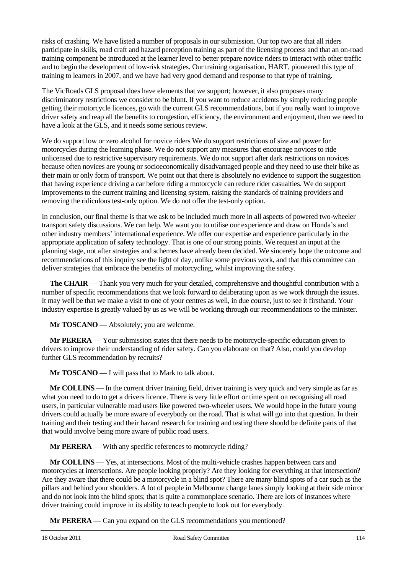risks of crashing. We have listed a number of proposals in our submission. Our top two are that all riders participate in skills, road craft and hazard perception training as part of the licensing process and that an on-road training component be introduced at the learner level to better prepare novice riders to interact with other traffic and to begin the development of low-risk strategies. Our training organisation, HART, pioneered this type of training to learners in 2007, and we have had very good demand and response to that type of training.

The VicRoads GLS proposal does have elements that we support; however, it also proposes many discriminatory restrictions we consider to be blunt. If you want to reduce accidents by simply reducing people getting their motorcycle licences, go with the current GLS recommendations, but if you really want to improve driver safety and reap all the benefits to congestion, efficiency, the environment and enjoyment, then we need to have a look at the GLS, and it needs some serious review.

We do support low or zero alcohol for novice riders We do support restrictions of size and power for motorcycles during the learning phase. We do not support any measures that encourage novices to ride unlicensed due to restrictive supervisory requirements. We do not support after dark restrictions on novices because often novices are young or socioeconomically disadvantaged people and they need to use their bike as their main or only form of transport. We point out that there is absolutely no evidence to support the suggestion that having experience driving a car before riding a motorcycle can reduce rider casualties. We do support improvements to the current training and licensing system, raising the standards of training providers and removing the ridiculous test-only option. We do not offer the test-only option.

In conclusion, our final theme is that we ask to be included much more in all aspects of powered two-wheeler transport safety discussions. We can help. We want you to utilise our experience and draw on Honda's and other industry members' international experience. We offer our expertise and experience particularly in the appropriate application of safety technology. That is one of our strong points. We request an input at the planning stage, not after strategies and schemes have already been decided. We sincerely hope the outcome and recommendations of this inquiry see the light of day, unlike some previous work, and that this committee can deliver strategies that embrace the benefits of motorcycling, whilst improving the safety.

**The CHAIR** — Thank you very much for your detailed, comprehensive and thoughtful contribution with a number of specific recommendations that we look forward to deliberating upon as we work through the issues. It may well be that we make a visit to one of your centres as well, in due course, just to see it firsthand. Your industry expertise is greatly valued by us as we will be working through our recommendations to the minister.

**Mr TOSCANO** — Absolutely; you are welcome.

**Mr PERERA** — Your submission states that there needs to be motorcycle-specific education given to drivers to improve their understanding of rider safety. Can you elaborate on that? Also, could you develop further GLS recommendation by recruits?

**Mr TOSCANO** — I will pass that to Mark to talk about.

**Mr COLLINS** — In the current driver training field, driver training is very quick and very simple as far as what you need to do to get a drivers licence. There is very little effort or time spent on recognising all road users, in particular vulnerable road users like powered two-wheeler users. We would hope in the future young drivers could actually be more aware of everybody on the road. That is what will go into that question. In their training and their testing and their hazard research for training and testing there should be definite parts of that that would involve being more aware of public road users.

**Mr PERERA** — With any specific references to motorcycle riding?

**Mr COLLINS** — Yes, at intersections. Most of the multi-vehicle crashes happen between cars and motorcycles at intersections. Are people looking properly? Are they looking for everything at that intersection? Are they aware that there could be a motorcycle in a blind spot? There are many blind spots of a car such as the pillars and behind your shoulders. A lot of people in Melbourne change lanes simply looking at their side mirror and do not look into the blind spots; that is quite a commonplace scenario. There are lots of instances where driver training could improve in its ability to teach people to look out for everybody.

**Mr PERERA** — Can you expand on the GLS recommendations you mentioned?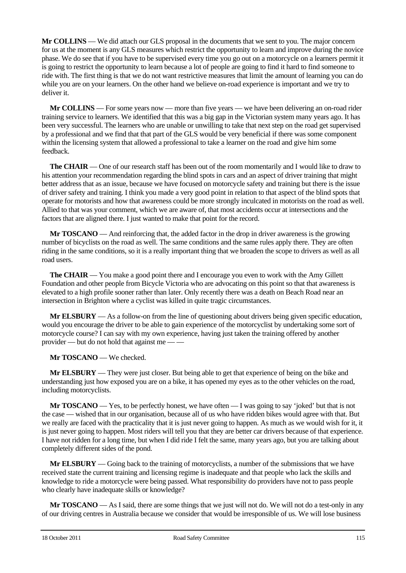**Mr COLLINS** — We did attach our GLS proposal in the documents that we sent to you. The major concern for us at the moment is any GLS measures which restrict the opportunity to learn and improve during the novice phase. We do see that if you have to be supervised every time you go out on a motorcycle on a learners permit it is going to restrict the opportunity to learn because a lot of people are going to find it hard to find someone to ride with. The first thing is that we do not want restrictive measures that limit the amount of learning you can do while you are on your learners. On the other hand we believe on-road experience is important and we try to deliver it.

**Mr COLLINS** — For some years now — more than five years — we have been delivering an on-road rider training service to learners. We identified that this was a big gap in the Victorian system many years ago. It has been very successful. The learners who are unable or unwilling to take that next step on the road get supervised by a professional and we find that that part of the GLS would be very beneficial if there was some component within the licensing system that allowed a professional to take a learner on the road and give him some feedback.

**The CHAIR** — One of our research staff has been out of the room momentarily and I would like to draw to his attention your recommendation regarding the blind spots in cars and an aspect of driver training that might better address that as an issue, because we have focused on motorcycle safety and training but there is the issue of driver safety and training. I think you made a very good point in relation to that aspect of the blind spots that operate for motorists and how that awareness could be more strongly inculcated in motorists on the road as well. Allied to that was your comment, which we are aware of, that most accidents occur at intersections and the factors that are aligned there. I just wanted to make that point for the record.

**Mr TOSCANO** — And reinforcing that, the added factor in the drop in driver awareness is the growing number of bicyclists on the road as well. The same conditions and the same rules apply there. They are often riding in the same conditions, so it is a really important thing that we broaden the scope to drivers as well as all road users.

**The CHAIR** — You make a good point there and I encourage you even to work with the Amy Gillett Foundation and other people from Bicycle Victoria who are advocating on this point so that that awareness is elevated to a high profile sooner rather than later. Only recently there was a death on Beach Road near an intersection in Brighton where a cyclist was killed in quite tragic circumstances.

**Mr ELSBURY** — As a follow-on from the line of questioning about drivers being given specific education, would you encourage the driver to be able to gain experience of the motorcyclist by undertaking some sort of motorcycle course? I can say with my own experience, having just taken the training offered by another provider — but do not hold that against me -

**Mr TOSCANO** — We checked.

**Mr ELSBURY** — They were just closer. But being able to get that experience of being on the bike and understanding just how exposed you are on a bike, it has opened my eyes as to the other vehicles on the road, including motorcyclists.

**Mr TOSCANO** — Yes, to be perfectly honest, we have often — I was going to say 'joked' but that is not the case — wished that in our organisation, because all of us who have ridden bikes would agree with that. But we really are faced with the practicality that it is just never going to happen. As much as we would wish for it, it is just never going to happen. Most riders will tell you that they are better car drivers because of that experience. I have not ridden for a long time, but when I did ride I felt the same, many years ago, but you are talking about completely different sides of the pond.

**Mr ELSBURY** — Going back to the training of motorcyclists, a number of the submissions that we have received state the current training and licensing regime is inadequate and that people who lack the skills and knowledge to ride a motorcycle were being passed. What responsibility do providers have not to pass people who clearly have inadequate skills or knowledge?

**Mr TOSCANO** — As I said, there are some things that we just will not do. We will not do a test-only in any of our driving centres in Australia because we consider that would be irresponsible of us. We will lose business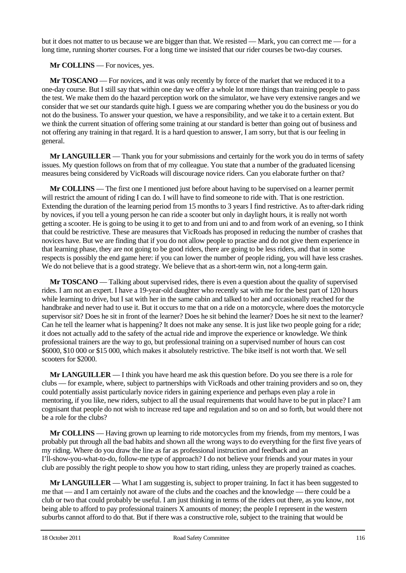but it does not matter to us because we are bigger than that. We resisted — Mark, you can correct me — for a long time, running shorter courses. For a long time we insisted that our rider courses be two-day courses.

#### **Mr COLLINS** — For novices, yes.

**Mr TOSCANO** — For novices, and it was only recently by force of the market that we reduced it to a one-day course. But I still say that within one day we offer a whole lot more things than training people to pass the test. We make them do the hazard perception work on the simulator, we have very extensive ranges and we consider that we set our standards quite high. I guess we are comparing whether you do the business or you do not do the business. To answer your question, we have a responsibility, and we take it to a certain extent. But we think the current situation of offering some training at our standard is better than going out of business and not offering any training in that regard. It is a hard question to answer, I am sorry, but that is our feeling in general.

**Mr LANGUILLER** — Thank you for your submissions and certainly for the work you do in terms of safety issues. My question follows on from that of my colleague. You state that a number of the graduated licensing measures being considered by VicRoads will discourage novice riders. Can you elaborate further on that?

**Mr COLLINS** — The first one I mentioned just before about having to be supervised on a learner permit will restrict the amount of riding I can do. I will have to find someone to ride with. That is one restriction. Extending the duration of the learning period from 15 months to 3 years I find restrictive. As to after-dark riding by novices, if you tell a young person he can ride a scooter but only in daylight hours, it is really not worth getting a scooter. He is going to be using it to get to and from uni and to and from work of an evening, so I think that could be restrictive. These are measures that VicRoads has proposed in reducing the number of crashes that novices have. But we are finding that if you do not allow people to practise and do not give them experience in that learning phase, they are not going to be good riders, there are going to be less riders, and that in some respects is possibly the end game here: if you can lower the number of people riding, you will have less crashes. We do not believe that is a good strategy. We believe that as a short-term win, not a long-term gain.

**Mr TOSCANO** — Talking about supervised rides, there is even a question about the quality of supervised rides. I am not an expert. I have a 19-year-old daughter who recently sat with me for the best part of 120 hours while learning to drive, but I sat with her in the same cabin and talked to her and occasionally reached for the handbrake and never had to use it. But it occurs to me that on a ride on a motorcycle, where does the motorcycle supervisor sit? Does he sit in front of the learner? Does he sit behind the learner? Does he sit next to the learner? Can he tell the learner what is happening? It does not make any sense. It is just like two people going for a ride; it does not actually add to the safety of the actual ride and improve the experience or knowledge. We think professional trainers are the way to go, but professional training on a supervised number of hours can cost \$6000, \$10 000 or \$15 000, which makes it absolutely restrictive. The bike itself is not worth that. We sell scooters for \$2000.

**Mr LANGUILLER** — I think you have heard me ask this question before. Do you see there is a role for clubs — for example, where, subject to partnerships with VicRoads and other training providers and so on, they could potentially assist particularly novice riders in gaining experience and perhaps even play a role in mentoring, if you like, new riders, subject to all the usual requirements that would have to be put in place? I am cognisant that people do not wish to increase red tape and regulation and so on and so forth, but would there not be a role for the clubs?

**Mr COLLINS** — Having grown up learning to ride motorcycles from my friends, from my mentors, I was probably put through all the bad habits and shown all the wrong ways to do everything for the first five years of my riding. Where do you draw the line as far as professional instruction and feedback and an I'll-show-you-what-to-do, follow-me type of approach? I do not believe your friends and your mates in your club are possibly the right people to show you how to start riding, unless they are properly trained as coaches.

**Mr LANGUILLER** — What I am suggesting is, subject to proper training. In fact it has been suggested to me that — and I am certainly not aware of the clubs and the coaches and the knowledge — there could be a club or two that could probably be useful. I am just thinking in terms of the riders out there, as you know, not being able to afford to pay professional trainers X amounts of money; the people I represent in the western suburbs cannot afford to do that. But if there was a constructive role, subject to the training that would be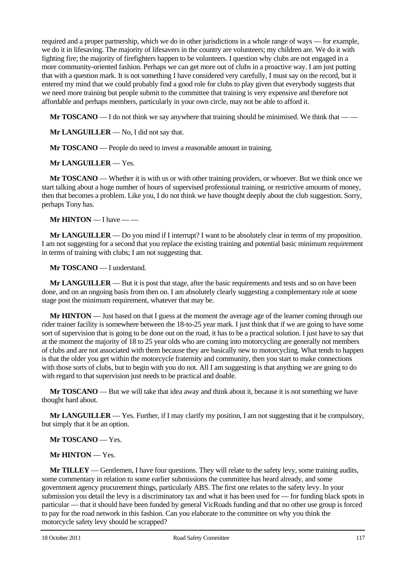required and a proper partnership, which we do in other jurisdictions in a whole range of ways — for example, we do it in lifesaving. The majority of lifesavers in the country are volunteers; my children are. We do it with fighting fire; the majority of firefighters happen to be volunteers. I question why clubs are not engaged in a more community-oriented fashion. Perhaps we can get more out of clubs in a proactive way. I am just putting that with a question mark. It is not something I have considered very carefully, I must say on the record, but it entered my mind that we could probably find a good role for clubs to play given that everybody suggests that we need more training but people submit to the committee that training is very expensive and therefore not affordable and perhaps members, particularly in your own circle, may not be able to afford it.

**Mr <b>TOSCANO** — I do not think we say anywhere that training should be minimised. We think that — —

**Mr LANGUILLER** — No, I did not say that.

**Mr <b>TOSCANO** — People do need to invest a reasonable amount in training.

**Mr LANGUILLER** — Yes.

**Mr TOSCANO** — Whether it is with us or with other training providers, or whoever. But we think once we start talking about a huge number of hours of supervised professional training, or restrictive amounts of money, then that becomes a problem. Like you, I do not think we have thought deeply about the club suggestion. Sorry, perhaps Tony has.

**Mr HINTON** — I have — —

**Mr LANGUILLER** — Do you mind if I interrupt? I want to be absolutely clear in terms of my proposition. I am not suggesting for a second that you replace the existing training and potential basic minimum requirement in terms of training with clubs; I am not suggesting that.

**Mr TOSCANO** — I understand.

**Mr LANGUILLER** — But it is post that stage, after the basic requirements and tests and so on have been done, and on an ongoing basis from then on. I am absolutely clearly suggesting a complementary role at some stage post the minimum requirement, whatever that may be.

**Mr HINTON** — Just based on that I guess at the moment the average age of the learner coming through our rider trainer facility is somewhere between the 18-to-25 year mark. I just think that if we are going to have some sort of supervision that is going to be done out on the road, it has to be a practical solution. I just have to say that at the moment the majority of 18 to 25 year olds who are coming into motorcycling are generally not members of clubs and are not associated with them because they are basically new to motorcycling. What tends to happen is that the older you get within the motorcycle fraternity and community, then you start to make connections with those sorts of clubs, but to begin with you do not. All I am suggesting is that anything we are going to do with regard to that supervision just needs to be practical and doable.

**Mr TOSCANO** — But we will take that idea away and think about it, because it is not something we have thought hard about.

**Mr LANGUILLER** — Yes. Further, if I may clarify my position, I am not suggesting that it be compulsory, but simply that it be an option.

**Mr TOSCANO** — Yes.

**Mr HINTON** — Yes.

**Mr TILLEY** — Gentlemen, I have four questions. They will relate to the safety levy, some training audits, some commentary in relation to some earlier submissions the committee has heard already, and some government agency procurement things, particularly ABS. The first one relates to the safety levy. In your submission you detail the levy is a discriminatory tax and what it has been used for — for funding black spots in particular — that it should have been funded by general VicRoads funding and that no other use group is forced to pay for the road network in this fashion. Can you elaborate to the committee on why you think the motorcycle safety levy should be scrapped?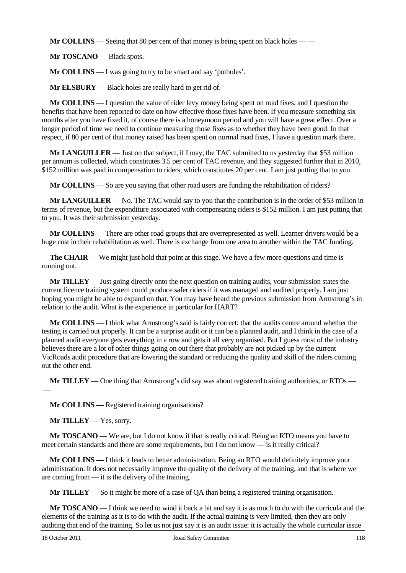**Mr COLLINS** — Seeing that 80 per cent of that money is being spent on black holes — —

**Mr TOSCANO** — Black spots.

**Mr COLLINS** — I was going to try to be smart and say 'potholes'.

**Mr ELSBURY** — Black holes are really hard to get rid of.

**Mr COLLINS** — I question the value of rider levy money being spent on road fixes, and I question the benefits that have been reported to date on how effective those fixes have been. If you measure something six months after you have fixed it, of course there is a honeymoon period and you will have a great effect. Over a longer period of time we need to continue measuring those fixes as to whether they have been good. In that respect, if 80 per cent of that money raised has been spent on normal road fixes, I have a question mark there.

**Mr LANGUILLER** — Just on that subject, if I may, the TAC submitted to us yesterday that \$53 million per annum is collected, which constitutes 3.5 per cent of TAC revenue, and they suggested further that in 2010, \$152 million was paid in compensation to riders, which constitutes 20 per cent. I am just putting that to you.

**Mr COLLINS** — So are you saying that other road users are funding the rehabilitation of riders?

**Mr LANGUILLER** — No. The TAC would say to you that the contribution is in the order of \$53 million in terms of revenue, but the expenditure associated with compensating riders is \$152 million. I am just putting that to you. It was their submission yesterday.

**Mr COLLINS** — There are other road groups that are overrepresented as well. Learner drivers would be a huge cost in their rehabilitation as well. There is exchange from one area to another within the TAC funding.

**The CHAIR** — We might just hold that point at this stage. We have a few more questions and time is running out.

**Mr TILLEY** — Just going directly onto the next question on training audits, your submission states the current licence training system could produce safer riders if it was managed and audited properly. I am just hoping you might be able to expand on that. You may have heard the previous submission from Armstrong's in relation to the audit. What is the experience in particular for HART?

**Mr COLLINS** — I think what Armstrong's said is fairly correct: that the audits centre around whether the testing is carried out properly. It can be a surprise audit or it can be a planned audit, and I think in the case of a planned audit everyone gets everything in a row and gets it all very organised. But I guess most of the industry believes there are a lot of other things going on out there that probably are not picked up by the current VicRoads audit procedure that are lowering the standard or reducing the quality and skill of the riders coming out the other end.

**Mr TILLEY** — One thing that Armstrong's did say was about registered training authorities, or RTOs —  $\overline{\phantom{0}}$ 

**Mr COLLINS** — Registered training organisations?

**Mr TILLEY** — Yes, sorry.

**Mr TOSCANO** — We are, but I do not know if that is really critical. Being an RTO means you have to meet certain standards and there are some requirements, but I do not know — is it really critical?

**Mr COLLINS** — I think it leads to better administration. Being an RTO would definitely improve your administration. It does not necessarily improve the quality of the delivery of the training, and that is where we are coming from — it is the delivery of the training.

**Mr TILLEY** — So it might be more of a case of QA than being a registered training organisation.

**Mr TOSCANO** — I think we need to wind it back a bit and say it is as much to do with the curricula and the elements of the training as it is to do with the audit. If the actual training is very limited, then they are only auditing that end of the training. So let us not just say it is an audit issue: it is actually the whole curricular issue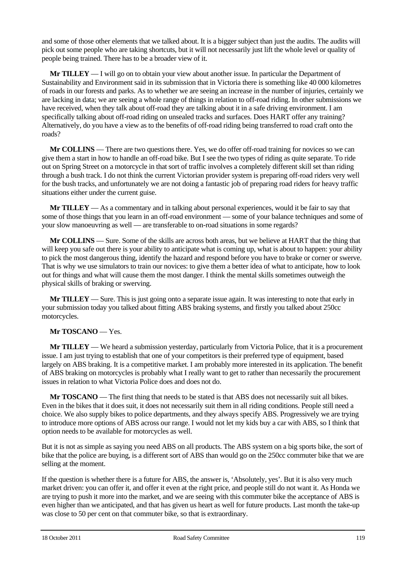and some of those other elements that we talked about. It is a bigger subject than just the audits. The audits will pick out some people who are taking shortcuts, but it will not necessarily just lift the whole level or quality of people being trained. There has to be a broader view of it.

**Mr TILLEY** — I will go on to obtain your view about another issue. In particular the Department of Sustainability and Environment said in its submission that in Victoria there is something like 40 000 kilometres of roads in our forests and parks. As to whether we are seeing an increase in the number of injuries, certainly we are lacking in data; we are seeing a whole range of things in relation to off-road riding. In other submissions we have received, when they talk about off-road they are talking about it in a safe driving environment. I am specifically talking about off-road riding on unsealed tracks and surfaces. Does HART offer any training? Alternatively, do you have a view as to the benefits of off-road riding being transferred to road craft onto the roads?

**Mr COLLINS** — There are two questions there. Yes, we do offer off-road training for novices so we can give them a start in how to handle an off-road bike. But I see the two types of riding as quite separate. To ride out on Spring Street on a motorcycle in that sort of traffic involves a completely different skill set than riding through a bush track. I do not think the current Victorian provider system is preparing off-road riders very well for the bush tracks, and unfortunately we are not doing a fantastic job of preparing road riders for heavy traffic situations either under the current guise.

**Mr TILLEY** — As a commentary and in talking about personal experiences, would it be fair to say that some of those things that you learn in an off-road environment — some of your balance techniques and some of your slow manoeuvring as well — are transferable to on-road situations in some regards?

**Mr COLLINS** — Sure. Some of the skills are across both areas, but we believe at HART that the thing that will keep you safe out there is your ability to anticipate what is coming up, what is about to happen: your ability to pick the most dangerous thing, identify the hazard and respond before you have to brake or corner or swerve. That is why we use simulators to train our novices: to give them a better idea of what to anticipate, how to look out for things and what will cause them the most danger. I think the mental skills sometimes outweigh the physical skills of braking or swerving.

**Mr TILLEY** — Sure. This is just going onto a separate issue again. It was interesting to note that early in your submission today you talked about fitting ABS braking systems, and firstly you talked about 250cc motorcycles.

### **Mr TOSCANO** — Yes.

**Mr TILLEY** — We heard a submission yesterday, particularly from Victoria Police, that it is a procurement issue. I am just trying to establish that one of your competitors is their preferred type of equipment, based largely on ABS braking. It is a competitive market. I am probably more interested in its application. The benefit of ABS braking on motorcycles is probably what I really want to get to rather than necessarily the procurement issues in relation to what Victoria Police does and does not do.

**Mr TOSCANO** — The first thing that needs to be stated is that ABS does not necessarily suit all bikes. Even in the bikes that it does suit, it does not necessarily suit them in all riding conditions. People still need a choice. We also supply bikes to police departments, and they always specify ABS. Progressively we are trying to introduce more options of ABS across our range. I would not let my kids buy a car with ABS, so I think that option needs to be available for motorcycles as well.

But it is not as simple as saying you need ABS on all products. The ABS system on a big sports bike, the sort of bike that the police are buying, is a different sort of ABS than would go on the 250cc commuter bike that we are selling at the moment.

If the question is whether there is a future for ABS, the answer is, 'Absolutely, yes'. But it is also very much market driven: you can offer it, and offer it even at the right price, and people still do not want it. As Honda we are trying to push it more into the market, and we are seeing with this commuter bike the acceptance of ABS is even higher than we anticipated, and that has given us heart as well for future products. Last month the take-up was close to 50 per cent on that commuter bike, so that is extraordinary.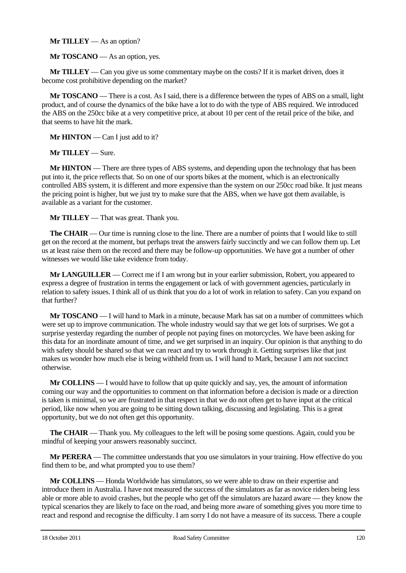#### **Mr TILLEY** — As an option?

**Mr TOSCANO** — As an option, yes.

**Mr TILLEY** — Can you give us some commentary maybe on the costs? If it is market driven, does it become cost prohibitive depending on the market?

**Mr TOSCANO** — There is a cost. As I said, there is a difference between the types of ABS on a small, light product, and of course the dynamics of the bike have a lot to do with the type of ABS required. We introduced the ABS on the 250cc bike at a very competitive price, at about 10 per cent of the retail price of the bike, and that seems to have hit the mark.

**Mr HINTON** — Can I just add to it?

**Mr TILLEY** — Sure.

**Mr HINTON** — There are three types of ABS systems, and depending upon the technology that has been put into it, the price reflects that. So on one of our sports bikes at the moment, which is an electronically controlled ABS system, it is different and more expensive than the system on our 250cc road bike. It just means the pricing point is higher, but we just try to make sure that the ABS, when we have got them available, is available as a variant for the customer.

**Mr TILLEY** — That was great. Thank you.

**The CHAIR** — Our time is running close to the line. There are a number of points that I would like to still get on the record at the moment, but perhaps treat the answers fairly succinctly and we can follow them up. Let us at least raise them on the record and there may be follow-up opportunities. We have got a number of other witnesses we would like take evidence from today.

**Mr LANGUILLER** — Correct me if I am wrong but in your earlier submission, Robert, you appeared to express a degree of frustration in terms the engagement or lack of with government agencies, particularly in relation to safety issues. I think all of us think that you do a lot of work in relation to safety. Can you expand on that further?

**Mr TOSCANO** — I will hand to Mark in a minute, because Mark has sat on a number of committees which were set up to improve communication. The whole industry would say that we get lots of surprises. We got a surprise yesterday regarding the number of people not paying fines on motorcycles. We have been asking for this data for an inordinate amount of time, and we get surprised in an inquiry. Our opinion is that anything to do with safety should be shared so that we can react and try to work through it. Getting surprises like that just makes us wonder how much else is being withheld from us. I will hand to Mark, because I am not succinct otherwise.

**Mr COLLINS** — I would have to follow that up quite quickly and say, yes, the amount of information coming our way and the opportunities to comment on that information before a decision is made or a direction is taken is minimal, so we are frustrated in that respect in that we do not often get to have input at the critical period, like now when you are going to be sitting down talking, discussing and legislating. This is a great opportunity, but we do not often get this opportunity.

**The CHAIR** — Thank you. My colleagues to the left will be posing some questions. Again, could you be mindful of keeping your answers reasonably succinct.

**Mr PERERA** — The committee understands that you use simulators in your training. How effective do you find them to be, and what prompted you to use them?

**Mr COLLINS** — Honda Worldwide has simulators, so we were able to draw on their expertise and introduce them in Australia. I have not measured the success of the simulators as far as novice riders being less able or more able to avoid crashes, but the people who get off the simulators are hazard aware — they know the typical scenarios they are likely to face on the road, and being more aware of something gives you more time to react and respond and recognise the difficulty. I am sorry I do not have a measure of its success. There a couple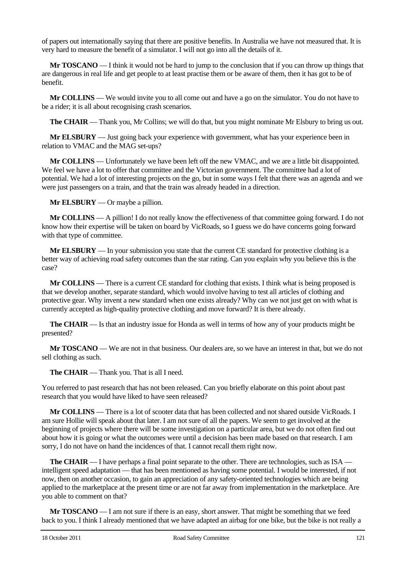of papers out internationally saying that there are positive benefits. In Australia we have not measured that. It is very hard to measure the benefit of a simulator. I will not go into all the details of it.

**Mr TOSCANO** — I think it would not be hard to jump to the conclusion that if you can throw up things that are dangerous in real life and get people to at least practise them or be aware of them, then it has got to be of benefit.

**Mr COLLINS** — We would invite you to all come out and have a go on the simulator. You do not have to be a rider; it is all about recognising crash scenarios.

**The CHAIR** — Thank you, Mr Collins; we will do that, but you might nominate Mr Elsbury to bring us out.

**Mr ELSBURY** — Just going back your experience with government, what has your experience been in relation to VMAC and the MAG set-ups?

**Mr COLLINS** — Unfortunately we have been left off the new VMAC, and we are a little bit disappointed. We feel we have a lot to offer that committee and the Victorian government. The committee had a lot of potential. We had a lot of interesting projects on the go, but in some ways I felt that there was an agenda and we were just passengers on a train, and that the train was already headed in a direction.

**Mr ELSBURY** — Or maybe a pillion.

**Mr COLLINS** — A pillion! I do not really know the effectiveness of that committee going forward. I do not know how their expertise will be taken on board by VicRoads, so I guess we do have concerns going forward with that type of committee.

**Mr ELSBURY** — In your submission you state that the current CE standard for protective clothing is a better way of achieving road safety outcomes than the star rating. Can you explain why you believe this is the case?

**Mr COLLINS** — There is a current CE standard for clothing that exists. I think what is being proposed is that we develop another, separate standard, which would involve having to test all articles of clothing and protective gear. Why invent a new standard when one exists already? Why can we not just get on with what is currently accepted as high-quality protective clothing and move forward? It is there already.

**The CHAIR** — Is that an industry issue for Honda as well in terms of how any of your products might be presented?

**Mr TOSCANO** — We are not in that business. Our dealers are, so we have an interest in that, but we do not sell clothing as such.

**The CHAIR** — Thank you. That is all I need.

You referred to past research that has not been released. Can you briefly elaborate on this point about past research that you would have liked to have seen released?

**Mr COLLINS** — There is a lot of scooter data that has been collected and not shared outside VicRoads. I am sure Hollie will speak about that later. I am not sure of all the papers. We seem to get involved at the beginning of projects where there will be some investigation on a particular area, but we do not often find out about how it is going or what the outcomes were until a decision has been made based on that research. I am sorry, I do not have on hand the incidences of that. I cannot recall them right now.

**The CHAIR** — I have perhaps a final point separate to the other. There are technologies, such as ISA intelligent speed adaptation — that has been mentioned as having some potential. I would be interested, if not now, then on another occasion, to gain an appreciation of any safety-oriented technologies which are being applied to the marketplace at the present time or are not far away from implementation in the marketplace. Are you able to comment on that?

**Mr TOSCANO** — I am not sure if there is an easy, short answer. That might be something that we feed back to you. I think I already mentioned that we have adapted an airbag for one bike, but the bike is not really a